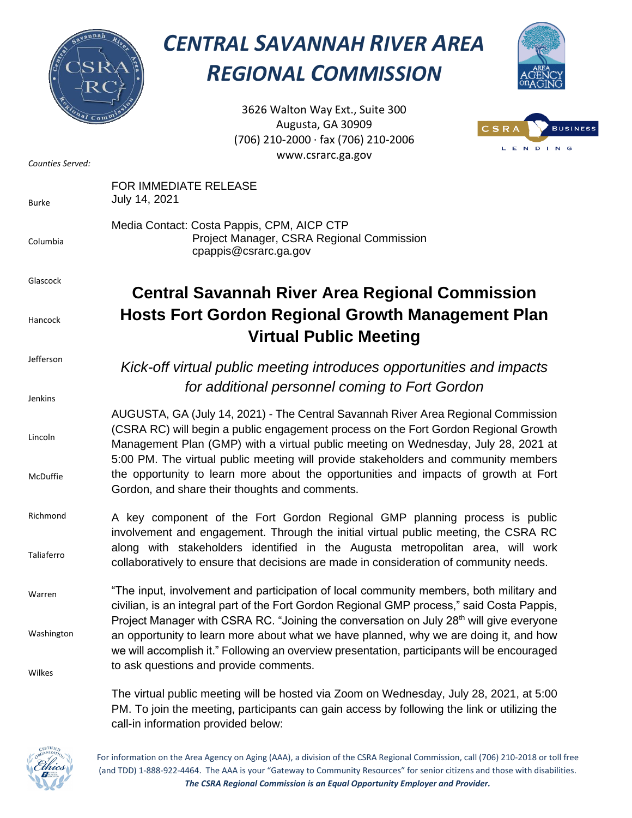

## *CENTRAL SAVANNAH RIVER AREA REGIONAL COMMISSION*



3626 Walton Way Ext., Suite 300 Augusta, GA 30909 (706) 210-2000 ∙ fax (706) 210-2006 www.csrarc.ga.gov



| Counties Served:     | L E N D I N<br>www.csrarc.ga.gov                                                                                                                                                                                                                                                                                                                                                                                                                                                               |
|----------------------|------------------------------------------------------------------------------------------------------------------------------------------------------------------------------------------------------------------------------------------------------------------------------------------------------------------------------------------------------------------------------------------------------------------------------------------------------------------------------------------------|
| <b>Burke</b>         | FOR IMMEDIATE RELEASE<br>July 14, 2021                                                                                                                                                                                                                                                                                                                                                                                                                                                         |
| Columbia             | Media Contact: Costa Pappis, CPM, AICP CTP<br>Project Manager, CSRA Regional Commission<br>cpappis@csrarc.ga.gov                                                                                                                                                                                                                                                                                                                                                                               |
| Glascock             | <b>Central Savannah River Area Regional Commission</b>                                                                                                                                                                                                                                                                                                                                                                                                                                         |
| Hancock              | <b>Hosts Fort Gordon Regional Growth Management Plan</b><br><b>Virtual Public Meeting</b>                                                                                                                                                                                                                                                                                                                                                                                                      |
| Jefferson<br>Jenkins | Kick-off virtual public meeting introduces opportunities and impacts<br>for additional personnel coming to Fort Gordon                                                                                                                                                                                                                                                                                                                                                                         |
| Lincoln<br>McDuffie  | AUGUSTA, GA (July 14, 2021) - The Central Savannah River Area Regional Commission<br>(CSRA RC) will begin a public engagement process on the Fort Gordon Regional Growth<br>Management Plan (GMP) with a virtual public meeting on Wednesday, July 28, 2021 at<br>5:00 PM. The virtual public meeting will provide stakeholders and community members<br>the opportunity to learn more about the opportunities and impacts of growth at Fort<br>Gordon, and share their thoughts and comments. |
| Richmond             | A key component of the Fort Gordon Regional GMP planning process is public                                                                                                                                                                                                                                                                                                                                                                                                                     |
| Taliaferro           | involvement and engagement. Through the initial virtual public meeting, the CSRA RC<br>along with stakeholders identified in the Augusta metropolitan area, will work<br>collaboratively to ensure that decisions are made in consideration of community needs.                                                                                                                                                                                                                                |
| Warren               | "The input, involvement and participation of local community members, both military and<br>civilian, is an integral part of the Fort Gordon Regional GMP process," said Costa Pappis,                                                                                                                                                                                                                                                                                                          |
| Washington           | Project Manager with CSRA RC. "Joining the conversation on July 28 <sup>th</sup> will give everyone<br>an opportunity to learn more about what we have planned, why we are doing it, and how<br>we will accomplish it." Following an overview presentation, participants will be encouraged                                                                                                                                                                                                    |
| Wilkes               | to ask questions and provide comments.                                                                                                                                                                                                                                                                                                                                                                                                                                                         |
|                      | The virtual public meeting will be hosted via Zoom on Wednesday, July 28, 2021, at 5:00                                                                                                                                                                                                                                                                                                                                                                                                        |

PM. To join the meeting, participants can gain access by following the link or utilizing the call-in information provided below:



For information on the Area Agency on Aging (AAA), a division of the CSRA Regional Commission, call (706) 210-2018 or toll free (and TDD) 1-888-922-4464. The AAA is your "Gateway to Community Resources" for senior citizens and those with disabilities. *The CSRA Regional Commission is an Equal Opportunity Employer and Provider.*